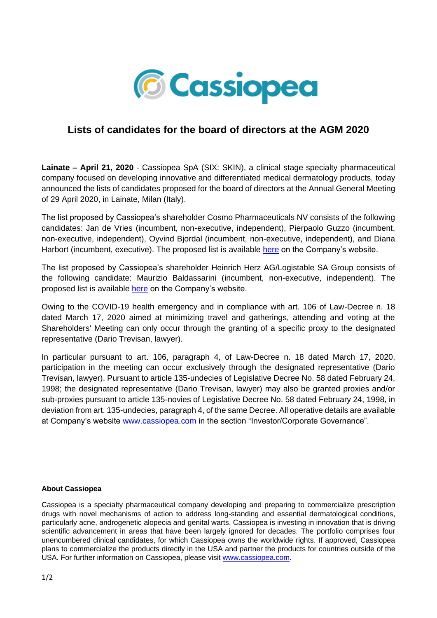

## **Lists of candidates for the board of directors at the AGM 2020**

**Lainate – April 21, 2020** - Cassiopea SpA (SIX: SKIN), a clinical stage specialty pharmaceutical company focused on developing innovative and differentiated medical dermatology products, today announced the lists of candidates proposed for the board of directors at the Annual General Meeting of 29 April 2020, in Lainate, Milan (Italy).

The list proposed by Cassiopea's shareholder Cosmo Pharmaceuticals NV consists of the following candidates: Jan de Vries (incumbent, non-executive, independent), Pierpaolo Guzzo (incumbent, non-executive, independent), Oyvind Bjordal (incumbent, non-executive, independent), and Diana Harbort (incumbent, executive). The proposed list is available [here](https://www.cassiopea.com/wp-content/uploads/2020/04/COSMO-PHARMACEUTICALS-NV-Board-members-list.pdf) on the Company's website.

The list proposed by Cassiopea's shareholder Heinrich Herz AG/Logistable SA Group consists of the following candidate: Maurizio Baldassarini (incumbent, non-executive, independent). The proposed list is available [here](https://www.cassiopea.com/wp-content/uploads/2020/04/HHERZ-Board-members-list.pdf) on the Company's website.

Owing to the COVID-19 health emergency and in compliance with art. 106 of Law-Decree n. 18 dated March 17, 2020 aimed at minimizing travel and gatherings, attending and voting at the Shareholders' Meeting can only occur through the granting of a specific proxy to the designated representative (Dario Trevisan, lawyer).

In particular pursuant to art. 106, paragraph 4, of Law-Decree n. 18 dated March 17, 2020, participation in the meeting can occur exclusively through the designated representative (Dario Trevisan, lawyer). Pursuant to article 135-undecies of Legislative Decree No. 58 dated February 24, 1998; the designated representative (Dario Trevisan, lawyer) may also be granted proxies and/or sub-proxies pursuant to article 135-novies of Legislative Decree No. 58 dated February 24, 1998, in deviation from art. 135-undecies, paragraph 4, of the same Decree. All operative details are available at Company's website [www.cassiopea.com](http://www.cassiopea.com/) in the section "Investor/Corporate Governance".

## **About Cassiopea**

Cassiopea is a specialty pharmaceutical company developing and preparing to commercialize prescription drugs with novel mechanisms of action to address long-standing and essential dermatological conditions, particularly acne, androgenetic alopecia and genital warts. Cassiopea is investing in innovation that is driving scientific advancement in areas that have been largely ignored for decades. The portfolio comprises four unencumbered clinical candidates, for which Cassiopea owns the worldwide rights. If approved, Cassiopea plans to commercialize the products directly in the USA and partner the products for countries outside of the USA. For further information on Cassiopea, please visit [www.cassiopea.com.](http://www.cassiopea.com/)